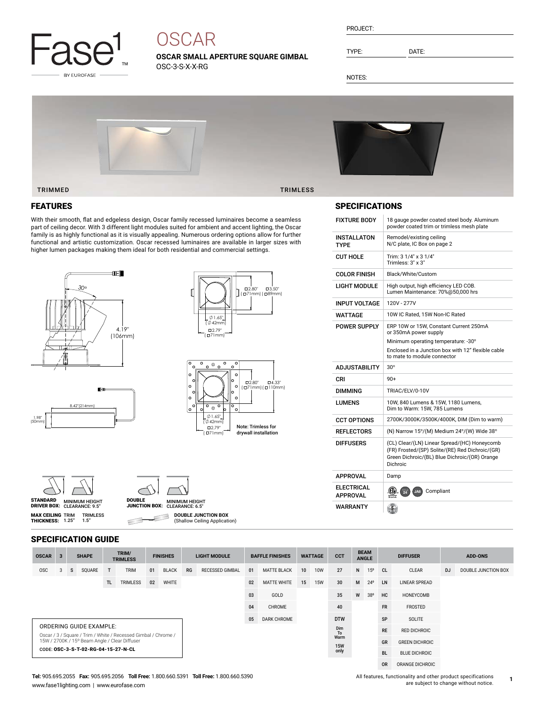

# **OSCAR**

**OSCAR SMALL APERTURE SQUARE GIMBAL** OSC-3-S-X-X-RG

| PROJECT: |  |
|----------|--|
|          |  |

TYPE: DATE:

NOTES:



#### TRIMMED TRIMLESS

### FEATURES

With their smooth, flat and edgeless design, Oscar family recessed luminaires become a seamless part of ceiling decor. With 3 different light modules suited for ambient and accent lighting, the Oscar family is as highly functional as it is visually appealing. Numerous ordering options allow for further functional and artistic customization. Oscar recessed luminaires are available in larger sizes with higher lumen packages making them ideal for both residential and commercial settings.







| STANDARD           | <b>MINIMUM HEIGHT</b> |
|--------------------|-----------------------|
| <b>DRIVER BOX:</b> | CLEARANCE: 9.5"       |

**MAX CEILING** TRIM<br>**THICKNESS:** 1.25"

SPECIFICATION GUIDE

TRIMLESS 1.5"



**DOUBLE JUNCTION BOX** ∃

(Shallow Ceiling Application)

### SPECIFICATIONS

| <b>FIXTURE BODY</b>                                     | 18 gauge powder coated steel body. Aluminum<br>powder coated trim or trimless mesh plate                                                                     |
|---------------------------------------------------------|--------------------------------------------------------------------------------------------------------------------------------------------------------------|
| INSTALLATON<br><b>TYPF</b>                              | Remodel/existing ceiling<br>N/C plate, IC Box on page 2                                                                                                      |
| <b>CUT HOLE</b>                                         | Trim: 3 1/4" x 3 1/4"<br>Trimless: 3" x 3"                                                                                                                   |
| <b>COLOR FINISH</b>                                     | Black/White/Custom                                                                                                                                           |
| LIGHT MODULE                                            | High output, high efficiency LED COB.<br>Lumen Maintenance: 70%@50,000 hrs                                                                                   |
| <b>INPUT VOLTAGE</b>                                    | 120V - 277V                                                                                                                                                  |
| WATTAGF                                                 | 10W IC Rated, 15W Non-IC Rated                                                                                                                               |
| <b>POWER SUPPLY</b>                                     | ERP 10W or 15W. Constant Current 250mA<br>or 350mA power supply                                                                                              |
|                                                         | Minimum operating temperature: -30°                                                                                                                          |
|                                                         | Enclosed in a Junction box with 12" flexible cable<br>to mate to module connector                                                                            |
|                                                         |                                                                                                                                                              |
| <b>ADJUSTABILITY</b>                                    | $30^\circ$                                                                                                                                                   |
| CRI                                                     | $90+$                                                                                                                                                        |
| DIMMING                                                 | TRIAC/ELV/0-10V                                                                                                                                              |
| LUMENS                                                  | 10W, 840 Lumens & 15W, 1180 Lumens,<br>Dim to Warm: 15W, 785 Lumens                                                                                          |
| <b>CCT OPTIONS</b>                                      | 2700K/3000K/3500K/4000K, DIM (Dim to warm)                                                                                                                   |
| <b>REFLECTORS</b>                                       | (N) Narrow 15°/(M) Medium 24°/(W) Wide 38°                                                                                                                   |
| <b>DIFFUSERS</b>                                        | (CL) Clear/(LN) Linear Spread/(HC) Honeycomb<br>(FR) Frosted/(SP) Solite/(RE) Red Dichroic/(GR)<br>Green Dichroic/(BL) Blue Dichroic/(OR) Orange<br>Dichroic |
|                                                         | Damp                                                                                                                                                         |
| <b>APPROVAL</b><br><b>ELECTRICAL</b><br><b>APPROVAL</b> | (CTV).<br><b>TITLE</b><br>Compliant<br>JAB                                                                                                                   |

| <b>OSCAR</b> | $\overline{3}$ |   | <b>SHAPE</b>                        |     | TRIM/<br><b>TRIMLESS</b>                                                                                        |    | <b>FINISHES</b> |    | <b>LIGHT MODULE</b>    |    | <b>BAFFLE FINISHES</b> |    | <b>WATTAGE</b> | <b>CCT</b>         |   | <b>BEAM</b><br><b>ANGLE</b> | <b>DIFFUSER</b> |                       | <b>ADD-ONS</b> |                     |
|--------------|----------------|---|-------------------------------------|-----|-----------------------------------------------------------------------------------------------------------------|----|-----------------|----|------------------------|----|------------------------|----|----------------|--------------------|---|-----------------------------|-----------------|-----------------------|----------------|---------------------|
| <b>OSC</b>   | 3              | s | SQUARE                              | Т   | <b>TRIM</b>                                                                                                     | 01 | <b>BLACK</b>    | RG | <b>RECESSED GIMBAL</b> | 01 | <b>MATTE BLACK</b>     | 10 | <b>10W</b>     | 27                 | N | 15 <sup>o</sup>             | <sub>CL</sub>   | CLEAR                 | <b>DJ</b>      | DOUBLE JUNCTION BOX |
|              |                |   |                                     | TL. | TRIMLESS                                                                                                        | 02 | WHITE           |    |                        | 02 | <b>MATTE WHITE</b>     | 15 | <b>15W</b>     | 30 <sup>°</sup>    | M | $24^{\circ}$                | LN              | <b>LINEAR SPREAD</b>  |                |                     |
|              |                |   |                                     |     |                                                                                                                 |    |                 |    |                        | 03 | GOLD                   |    |                | 35                 | W | 38°                         | HC              | HONEYCOMB             |                |                     |
|              |                |   |                                     |     |                                                                                                                 |    |                 |    |                        | 04 | CHROME                 |    |                | 40                 |   |                             | <b>FR</b>       | FROSTED               |                |                     |
|              |                |   |                                     |     |                                                                                                                 |    |                 |    |                        | 05 | DARK CHROME            |    |                | <b>DTW</b>         |   |                             | SP              | SOLITE                |                |                     |
|              |                |   | <b>ORDERING GUIDE EXAMPLE:</b>      |     |                                                                                                                 |    |                 |    |                        |    |                        |    |                | Dim<br>To          |   |                             | <b>RE</b>       | <b>RED DICHROIC</b>   |                |                     |
|              |                |   |                                     |     | Oscar / 3 / Square / Trim / White / Recessed Gimbal / Chrome /<br>15W / 2700K / 15° Beam Angle / Clear Diffuser |    |                 |    |                        |    |                        |    |                | Warm<br><b>15W</b> |   |                             | GR              | <b>GREEN DICHROIC</b> |                |                     |
|              |                |   | CODE: OSC-3-S-T-02-RG-04-15-27-N-CL |     |                                                                                                                 |    |                 |    |                        |    |                        |    |                | only               |   |                             | <b>BL</b>       | <b>BLUE DICHROIC</b>  |                |                     |
|              |                |   |                                     |     |                                                                                                                 |    |                 |    |                        |    |                        |    |                |                    |   |                             | <b>OR</b>       | ORANGE DICHROIC       |                |                     |

#### **Tel:** 905.695.2055 **Fax:** 905.695.2056 **Toll Free:** 1.800.660.5391 **Toll Free:** 1.800.660.5390 www.fase1lighting.com | www.eurofase.com

 $\subset$ 

All features, functionality and other product specifications are subject to change without notice.

**1**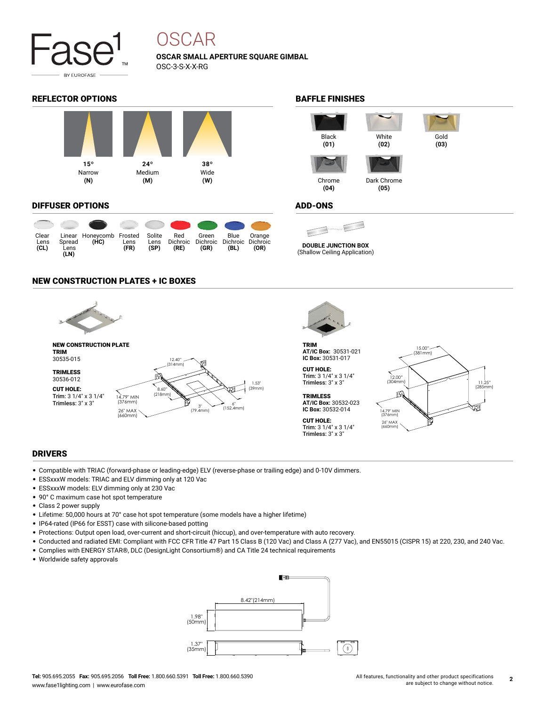

## OSCAR

**OSCAR SMALL APERTURE SQUARE GIMBAL** OSC-3-S-X-X-RG

### REFLECTOR OPTIONS **BAFFLE FINISHES**



#### DIFFUSER OPTIONS

| Clear<br>Lens<br>CL) | Spread<br>Lens<br>(LN) | Linear Honeycomb Frosted<br>(HC) | Lens<br>(FR) | Solite<br>Lens<br>(SP) | Red<br>Dichroic<br>(RE) | Green<br>Dichroic<br>(GR) | Blue<br>Dichroic Dichroic<br>(BL) | Orange<br>(OR) |
|----------------------|------------------------|----------------------------------|--------------|------------------------|-------------------------|---------------------------|-----------------------------------|----------------|

### NEW CONSTRUCTION PLATES + IC BOXES





TRIM **AT/IC Box:** 30531-021 **IC Box:** 30531-017

```
CUT HOLE:
Trim: 3 1/4" x 3 1/4"
Trimless: 3" x 3"
```
**TRIMLESS AT/IC Box:** 30532-023 **IC Box:** 30532-014 CUT HOLE:

Trim: 3 1/4" x 3 1/4" Trimless: 3" x 3"

15.00" (381mm) 12.00" (304mm) 11.25" (285mm) пJ 14.79" MIN (376mm) 26" MAX (660mm)

#### DRIVERS

- Compatible with TRIAC (forward-phase or leading-edge) ELV (reverse-phase or trailing edge) and 0-10V dimmers.
- ESSxxxW models: TRIAC and ELV dimming only at 120 Vac
- ESSxxxW models: ELV dimming only at 230 Vac
- 90° C maximum case hot spot temperature
- Class 2 power supply
- Lifetime: 50,000 hours at 70° case hot spot temperature (some models have a higher lifetime)
- IP64-rated (IP66 for ESST) case with silicone-based potting
- Protections: Output open load, over-current and short-circuit (hiccup), and over-temperature with auto recovery.
- Conducted and radiated EMI: Compliant with FCC CFR Title 47 Part 15 Class B (120 Vac) and Class A (277 Vac), and EN55015 (CISPR 15) at 220, 230, and 240 Vac.
- Complies with ENERGY STAR®, DLC (DesignLight Consortium®) and CA Title 24 technical requirements
- Worldwide safety approvals





#### ADD-ONS

**DOUBLE JUNCTION BOX**

(Shallow Ceiling Application)